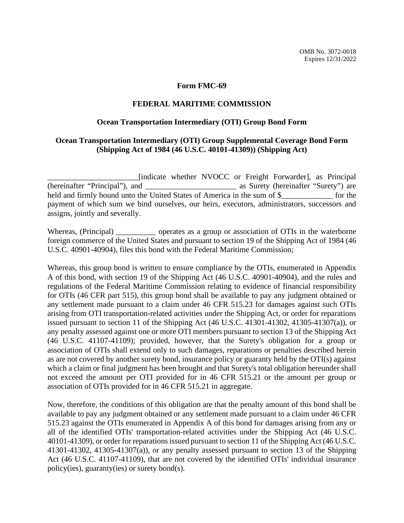## **Form FMC-69**

## **FEDERAL MARITIME COMMISSION**

## **Ocean Transportation Intermediary (OTI) Group Bond Form**

## **Ocean Transportation Intermediary (OTI) Group Supplemental Coverage Bond Form (Shipping Act of 1984 (46 U.S.C. 40101-41309)) (Shipping Act)**

\_\_\_\_\_\_\_\_\_\_\_\_\_\_\_\_\_\_\_\_\_\_\_[indicate whether NVOCC or Freight Forwarder], as Principal (hereinafter "Principal"), and \_\_\_\_\_\_\_\_\_\_\_\_\_\_\_\_\_\_\_\_\_\_\_ as Surety (hereinafter "Surety") are held and firmly bound unto the United States of America in the sum of \$ for the payment of which sum we bind ourselves, our heirs, executors, administrators, successors and assigns, jointly and severally.

Whereas, (Principal) \_\_\_\_\_\_\_\_\_\_\_ operates as a group or association of OTIs in the waterborne foreign commerce of the United States and pursuant to section 19 of the Shipping Act of 1984 (46 U.S.C. 40901-40904), files this bond with the Federal Maritime Commission;

Whereas, this group bond is written to ensure compliance by the OTIs, enumerated in Appendix A of this bond, with section 19 of the Shipping Act (46 U.S.C. 40901-40904), and the rules and regulations of the Federal Maritime Commission relating to evidence of financial responsibility for OTIs (46 CFR part 515), this group bond shall be available to pay any judgment obtained or any settlement made pursuant to a claim under 46 CFR 515.23 for damages against such OTIs arising from OTI transportation-related activities under the Shipping Act, or order for reparations issued pursuant to section 11 of the Shipping Act (46 U.S.C. 41301-41302, 41305-41307(a)), or any penalty assessed against one or more OTI members pursuant to section 13 of the Shipping Act (46 U.S.C. 41107-41109); provided, however, that the Surety's obligation for a group or association of OTIs shall extend only to such damages, reparations or penalties described herein as are not covered by another surety bond, insurance policy or guaranty held by the OTI(s) against which a claim or final judgment has been brought and that Surety's total obligation hereunder shall not exceed the amount per OTI provided for in 46 CFR 515.21 or the amount per group or association of OTIs provided for in 46 CFR 515.21 in aggregate.

Now, therefore, the conditions of this obligation are that the penalty amount of this bond shall be available to pay any judgment obtained or any settlement made pursuant to a claim under 46 CFR 515.23 against the OTIs enumerated in Appendix A of this bond for damages arising from any or all of the identified OTIs' transportation-related activities under the Shipping Act (46 U.S.C. 40101-41309), or order for reparations issued pursuant to section 11 of the Shipping Act (46 U.S.C. 41301-41302, 41305-41307(a)), or any penalty assessed pursuant to section 13 of the Shipping Act (46 U.S.C. 41107-41109), that are not covered by the identified OTIs' individual insurance policy(ies), guaranty(ies) or surety bond(s).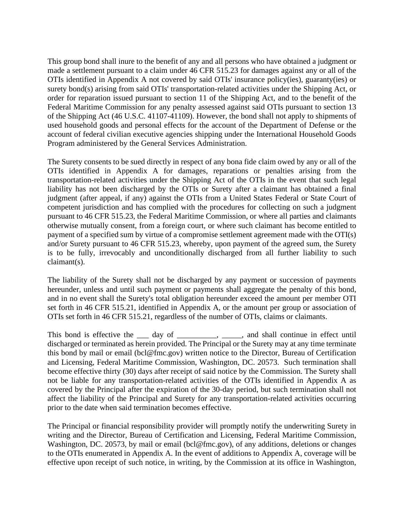This group bond shall inure to the benefit of any and all persons who have obtained a judgment or made a settlement pursuant to a claim under 46 CFR 515.23 for damages against any or all of the OTIs identified in Appendix A not covered by said OTIs' insurance policy(ies), guaranty(ies) or surety bond(s) arising from said OTIs' transportation-related activities under the Shipping Act, or order for reparation issued pursuant to section 11 of the Shipping Act, and to the benefit of the Federal Maritime Commission for any penalty assessed against said OTIs pursuant to section 13 of the Shipping Act (46 U.S.C. 41107-41109). However, the bond shall not apply to shipments of used household goods and personal effects for the account of the Department of Defense or the account of federal civilian executive agencies shipping under the International Household Goods Program administered by the General Services Administration.

The Surety consents to be sued directly in respect of any bona fide claim owed by any or all of the OTIs identified in Appendix A for damages, reparations or penalties arising from the transportation-related activities under the Shipping Act of the OTIs in the event that such legal liability has not been discharged by the OTIs or Surety after a claimant has obtained a final judgment (after appeal, if any) against the OTIs from a United States Federal or State Court of competent jurisdiction and has complied with the procedures for collecting on such a judgment pursuant to 46 CFR 515.23, the Federal Maritime Commission, or where all parties and claimants otherwise mutually consent, from a foreign court, or where such claimant has become entitled to payment of a specified sum by virtue of a compromise settlement agreement made with the OTI(s) and/or Surety pursuant to 46 CFR 515.23, whereby, upon payment of the agreed sum, the Surety is to be fully, irrevocably and unconditionally discharged from all further liability to such claimant(s).

The liability of the Surety shall not be discharged by any payment or succession of payments hereunder, unless and until such payment or payments shall aggregate the penalty of this bond, and in no event shall the Surety's total obligation hereunder exceed the amount per member OTI set forth in 46 CFR 515.21, identified in Appendix A, or the amount per group or association of OTIs set forth in 46 CFR 515.21, regardless of the number of OTIs, claims or claimants.

This bond is effective the \_\_\_ day of \_\_\_\_\_\_\_\_, \_\_\_\_, and shall continue in effect until discharged or terminated as herein provided. The Principal or the Surety may at any time terminate this bond by mail or email (bcl@fmc.gov) written notice to the Director, Bureau of Certification and Licensing, Federal Maritime Commission, Washington, DC. 20573. Such termination shall become effective thirty (30) days after receipt of said notice by the Commission. The Surety shall not be liable for any transportation-related activities of the OTIs identified in Appendix A as covered by the Principal after the expiration of the 30-day period, but such termination shall not affect the liability of the Principal and Surety for any transportation-related activities occurring prior to the date when said termination becomes effective.

The Principal or financial responsibility provider will promptly notify the underwriting Surety in writing and the Director, Bureau of Certification and Licensing, Federal Maritime Commission, Washington, DC. 20573, by mail or email (bcl@fmc.gov), of any additions, deletions or changes to the OTIs enumerated in Appendix A. In the event of additions to Appendix A, coverage will be effective upon receipt of such notice, in writing, by the Commission at its office in Washington,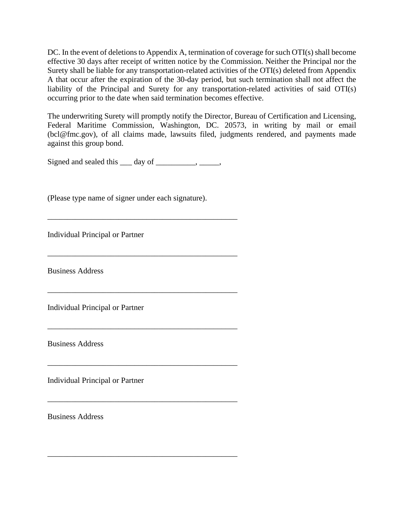DC. In the event of deletions to Appendix A, termination of coverage for such OTI(s) shall become effective 30 days after receipt of written notice by the Commission. Neither the Principal nor the Surety shall be liable for any transportation-related activities of the OTI(s) deleted from Appendix A that occur after the expiration of the 30-day period, but such termination shall not affect the liability of the Principal and Surety for any transportation-related activities of said OTI(s) occurring prior to the date when said termination becomes effective.

The underwriting Surety will promptly notify the Director, Bureau of Certification and Licensing, Federal Maritime Commission, Washington, DC. 20573, in writing by mail or email (bcl@fmc.gov), of all claims made, lawsuits filed, judgments rendered, and payments made against this group bond.

Signed and sealed this \_\_\_ day of \_\_\_\_\_\_\_\_, \_\_\_\_\_,

\_\_\_\_\_\_\_\_\_\_\_\_\_\_\_\_\_\_\_\_\_\_\_\_\_\_\_\_\_\_\_\_\_\_\_\_\_\_\_\_\_\_\_\_\_\_\_\_

\_\_\_\_\_\_\_\_\_\_\_\_\_\_\_\_\_\_\_\_\_\_\_\_\_\_\_\_\_\_\_\_\_\_\_\_\_\_\_\_\_\_\_\_\_\_\_\_

\_\_\_\_\_\_\_\_\_\_\_\_\_\_\_\_\_\_\_\_\_\_\_\_\_\_\_\_\_\_\_\_\_\_\_\_\_\_\_\_\_\_\_\_\_\_\_\_

\_\_\_\_\_\_\_\_\_\_\_\_\_\_\_\_\_\_\_\_\_\_\_\_\_\_\_\_\_\_\_\_\_\_\_\_\_\_\_\_\_\_\_\_\_\_\_\_

\_\_\_\_\_\_\_\_\_\_\_\_\_\_\_\_\_\_\_\_\_\_\_\_\_\_\_\_\_\_\_\_\_\_\_\_\_\_\_\_\_\_\_\_\_\_\_\_

\_\_\_\_\_\_\_\_\_\_\_\_\_\_\_\_\_\_\_\_\_\_\_\_\_\_\_\_\_\_\_\_\_\_\_\_\_\_\_\_\_\_\_\_\_\_\_\_

(Please type name of signer under each signature).

Individual Principal or Partner

Business Address

Individual Principal or Partner

Business Address

Individual Principal or Partner

Business Address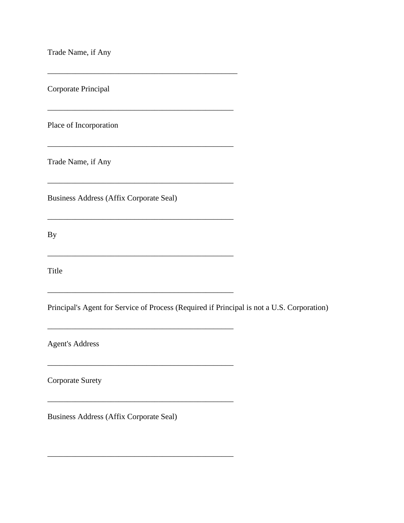Trade Name, if Any

Corporate Principal

Place of Incorporation

Trade Name, if Any

Business Address (Affix Corporate Seal)

\_\_\_\_\_\_\_\_\_\_\_\_\_\_\_\_\_\_\_\_\_\_\_\_\_\_\_\_\_\_\_\_\_\_\_\_\_\_\_\_\_\_\_\_\_\_\_\_

 $\mathcal{L}_\text{max} = \mathcal{L}_\text{max} = \mathcal{L}_\text{max} = \mathcal{L}_\text{max} = \mathcal{L}_\text{max} = \mathcal{L}_\text{max} = \mathcal{L}_\text{max} = \mathcal{L}_\text{max} = \mathcal{L}_\text{max} = \mathcal{L}_\text{max} = \mathcal{L}_\text{max} = \mathcal{L}_\text{max} = \mathcal{L}_\text{max} = \mathcal{L}_\text{max} = \mathcal{L}_\text{max} = \mathcal{L}_\text{max} = \mathcal{L}_\text{max} = \mathcal{L}_\text{max} = \mathcal{$ 

 $\mathcal{L}_\text{max} = \mathcal{L}_\text{max} = \mathcal{L}_\text{max} = \mathcal{L}_\text{max} = \mathcal{L}_\text{max} = \mathcal{L}_\text{max} = \mathcal{L}_\text{max} = \mathcal{L}_\text{max} = \mathcal{L}_\text{max} = \mathcal{L}_\text{max} = \mathcal{L}_\text{max} = \mathcal{L}_\text{max} = \mathcal{L}_\text{max} = \mathcal{L}_\text{max} = \mathcal{L}_\text{max} = \mathcal{L}_\text{max} = \mathcal{L}_\text{max} = \mathcal{L}_\text{max} = \mathcal{$ 

\_\_\_\_\_\_\_\_\_\_\_\_\_\_\_\_\_\_\_\_\_\_\_\_\_\_\_\_\_\_\_\_\_\_\_\_\_\_\_\_\_\_\_\_\_\_\_

\_\_\_\_\_\_\_\_\_\_\_\_\_\_\_\_\_\_\_\_\_\_\_\_\_\_\_\_\_\_\_\_\_\_\_\_\_\_\_\_\_\_\_\_\_\_\_

\_\_\_\_\_\_\_\_\_\_\_\_\_\_\_\_\_\_\_\_\_\_\_\_\_\_\_\_\_\_\_\_\_\_\_\_\_\_\_\_\_\_\_\_\_\_\_

\_\_\_\_\_\_\_\_\_\_\_\_\_\_\_\_\_\_\_\_\_\_\_\_\_\_\_\_\_\_\_\_\_\_\_\_\_\_\_\_\_\_\_\_\_\_\_

 $\mathcal{L}_\text{max}$  and  $\mathcal{L}_\text{max}$  and  $\mathcal{L}_\text{max}$  and  $\mathcal{L}_\text{max}$ 

By

Title

Principal's Agent for Service of Process (Required if Principal is not a U.S. Corporation)

Agent's Address

Corporate Surety

Business Address (Affix Corporate Seal)